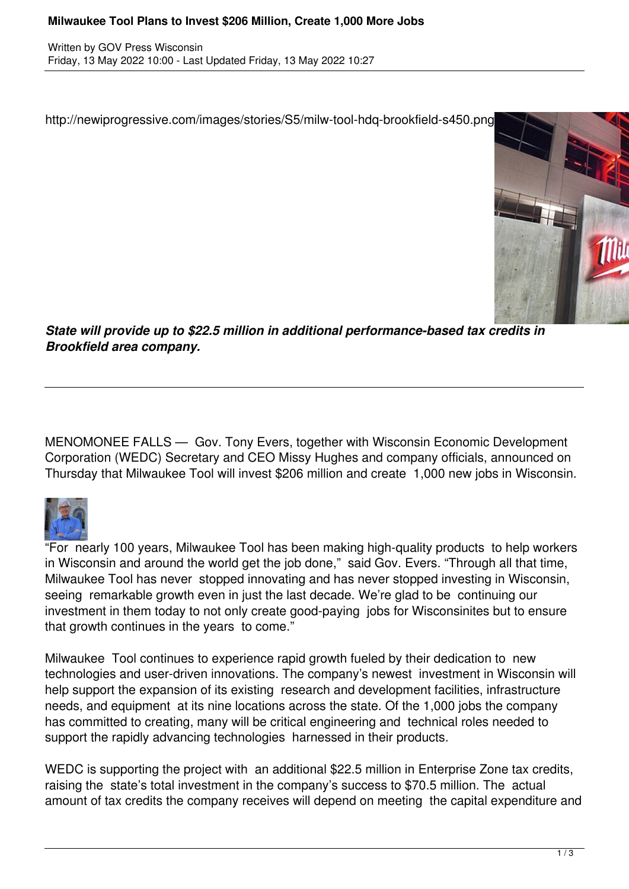## **Milwaukee Tool Plans to Invest \$206 Million, Create 1,000 More Jobs**

Written by GOV Press Wisconsin Friday, 13 May 2022 10:00 - Last Updated Friday, 13 May 2022 10:27

http://newiprogressive.com/images/stories/S5/milw-tool-hdq-brookfield-s450.png



*State will provide up to \$22.5 million in additional performance-based tax credits in Brookfield area company.*

MENOMONEE FALLS — Gov. Tony Evers, together with Wisconsin Economic Development Corporation (WEDC) Secretary and CEO Missy Hughes and company officials, announced on Thursday that Milwaukee Tool will invest \$206 million and create 1,000 new jobs in Wisconsin.



"For nearly 100 years, Milwaukee Tool has been making high-quality products to help workers in Wisconsin and around the world get the job done," said Gov. Evers. "Through all that time, Milwaukee Tool has never stopped innovating and has never stopped investing in Wisconsin, seeing remarkable growth even in just the last decade. We're glad to be continuing our investment in them today to not only create good-paying jobs for Wisconsinites but to ensure that growth continues in the years to come."

Milwaukee Tool continues to experience rapid growth fueled by their dedication to new technologies and user-driven innovations. The company's newest investment in Wisconsin will help support the expansion of its existing research and development facilities, infrastructure needs, and equipment at its nine locations across the state. Of the 1,000 jobs the company has committed to creating, many will be critical engineering and technical roles needed to support the rapidly advancing technologies harnessed in their products.

WEDC is supporting the project with an additional \$22.5 million in Enterprise Zone tax credits, raising the state's total investment in the company's success to \$70.5 million. The actual amount of tax credits the company receives will depend on meeting the capital expenditure and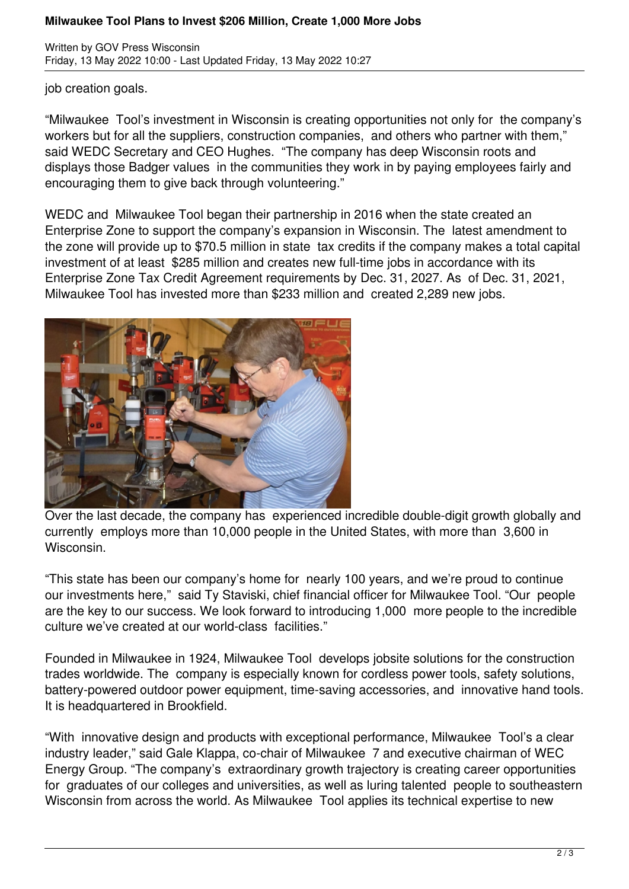## **Milwaukee Tool Plans to Invest \$206 Million, Create 1,000 More Jobs**

Written by GOV Press Wisconsin Friday, 13 May 2022 10:00 - Last Updated Friday, 13 May 2022 10:27

job creation goals.

"Milwaukee Tool's investment in Wisconsin is creating opportunities not only for the company's workers but for all the suppliers, construction companies, and others who partner with them," said WEDC Secretary and CEO Hughes. "The company has deep Wisconsin roots and displays those Badger values in the communities they work in by paying employees fairly and encouraging them to give back through volunteering."

WEDC and Milwaukee Tool began their partnership in 2016 when the state created an Enterprise Zone to support the company's expansion in Wisconsin. The latest amendment to the zone will provide up to \$70.5 million in state tax credits if the company makes a total capital investment of at least \$285 million and creates new full-time jobs in accordance with its Enterprise Zone Tax Credit Agreement requirements by Dec. 31, 2027. As of Dec. 31, 2021, Milwaukee Tool has invested more than \$233 million and created 2,289 new jobs.



Over the last decade, the company has experienced incredible double-digit growth globally and currently employs more than 10,000 people in the United States, with more than 3,600 in Wisconsin.

"This state has been our company's home for nearly 100 years, and we're proud to continue our investments here," said Ty Staviski, chief financial officer for Milwaukee Tool. "Our people are the key to our success. We look forward to introducing 1,000 more people to the incredible culture we've created at our world-class facilities."

Founded in Milwaukee in 1924, Milwaukee Tool develops jobsite solutions for the construction trades worldwide. The company is especially known for cordless power tools, safety solutions, battery-powered outdoor power equipment, time-saving accessories, and innovative hand tools. It is headquartered in Brookfield.

"With innovative design and products with exceptional performance, Milwaukee Tool's a clear industry leader," said Gale Klappa, co-chair of Milwaukee 7 and executive chairman of WEC Energy Group. "The company's extraordinary growth trajectory is creating career opportunities for graduates of our colleges and universities, as well as luring talented people to southeastern Wisconsin from across the world. As Milwaukee Tool applies its technical expertise to new